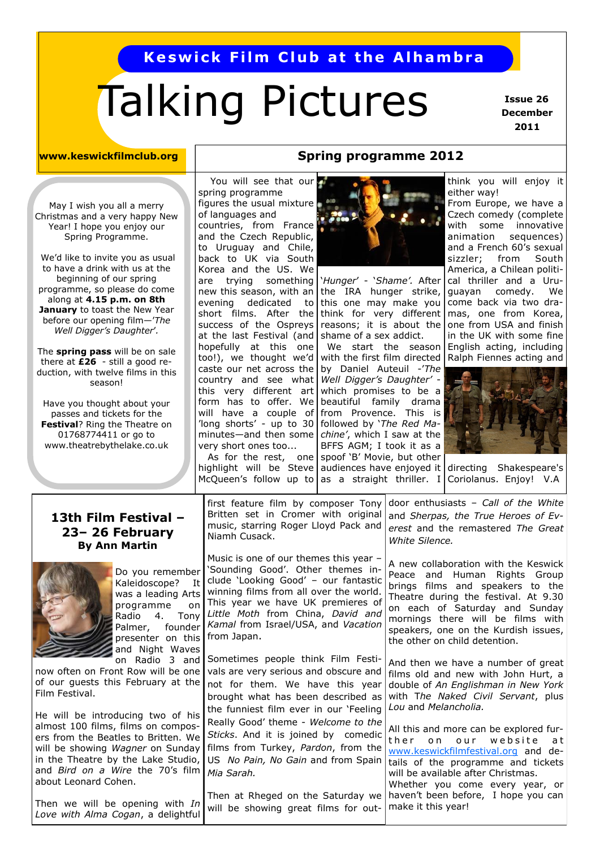# **Keswick Film Club at the Alhambra**

# Talking Pictures

 **Issue 26 December 2011**

#### **www.keswickfilmclub.org**

May I wish you all a merry Christmas and a very happy New Year! I hope you enjoy our Spring Programme.

We'd like to invite you as usual to have a drink with us at the beginning of our spring programme, so please do come along at **4.15 p.m. on 8th January** to toast the New Year before our opening film—'*The Well Digger"s Daughter*'*.* 

The **spring pass** will be on sale there at **£26** - still a good reduction, with twelve films in this season!

Have you thought about your passes and tickets for the **Festival**? Ring the Theatre on 01768774411 or go to www.theatrebythelake.co.uk

at the last Festival (and | shame of a sex addict. You will see that our spring programme figures the usual mixture of languages and countries, from France and the Czech Republic, to Uruguay and Chile, back to UK via South Korea and the US. We are trying something evening dedicated success of the Ospreys hopefully at this one too!), we thought we'd country and see what this very different art form has to offer. We will have a couple of 'long shorts' - up to 30 minutes—and then some very short ones too...

#### **Spring programme 2012**



new this season, with an the IRA hunger strike, guayan comedy. We this one may make you come back via two drashort films. After the think for very different  $\text{mas}$ , one from Korea, reasons; it is about the one from USA and finish with the first film directed  $\vert$  Ralph Fiennes acting and ‗*Hunger*' - ‗*Shame".* After We start the season caste our net across the by Daniel Auteuil -'The *Well Digger"s Daughter"*  which promises to be a beautiful family drama from Provence. This is followed by 'The Red Ma*chine"*, which I saw at the BFFS AGM; I took it as a spoof 'B' Movie, but other As for the rest, one

think you will enjoy it either way!

From Europe, we have a Czech comedy (complete with some innovative animation sequences) and a French 60's sexual sizzler; from South America, a Chilean political thriller and a Uruin the UK with some fine English acting, including



highlight will be Steve audiences have enjoyed it directing Shakespeare's McQueen's follow up to as a straight thriller. I Coriolanus. Enjoy! V.A

#### **13th Film Festival – 23– 26 February By Ann Martin**



Do you remember Kaleidoscope? It was a leading Arts programme on Radio 4. Tony Palmer, founder presenter on this and Night Waves on Radio 3 and

now often on Front Row will be one of our guests this February at the Film Festival.

He will be introducing two of his almost 100 films, films on composers from the Beatles to Britten. We will be showing *Wagner* on Sunday in the Theatre by the Lake Studio, and *Bird on a Wire* the 70's film about Leonard Cohen.

Then we will be opening with *In Love with Alma Cogan*, a delightful first feature film by composer Tony Britten set in Cromer with original music, starring Roger Lloyd Pack and Niamh Cusack. door enthusiasts – *Call of the White*  and *Sherpas, the True Heroes of Everest* and the remastered *The Great White Silence.*

Music is one of our themes this year – 'Sounding Good'. Other themes include 'Looking Good' - our fantastic winning films from all over the world. This year we have UK premieres of *Little Moth* from China, *David and Kamal* from Israel/USA, and *Vacation*  from Japan.

Sometimes people think Film Festivals are very serious and obscure and not for them. We have this year brought what has been described as the funniest film ever in our 'Feeling Really Good' theme - *Welcome to the Sticks*. And it is joined by comedic films from Turkey, *Pardon*, from the US *No Pain, No Gain* and from Spain *Mia Sarah.*

Then at Rheged on the Saturday we will be showing great films for out-

the other on child detention. And then we have a number of great films old and new with John Hurt, a double of *An Englishman in New York* with T*he Naked Civil Servant*, plus

*Lou* and *Melancholia.*

A new collaboration with the Keswick Peace and Human Rights Group brings films and speakers to the Theatre during the festival. At 9.30 on each of Saturday and Sunday mornings there will be films with speakers, one on the Kurdish issues,

All this and more can be explored further on our website at [www.keswickfilmfestival.org](http://www.keswickfilmfestival.org) and details of the programme and tickets will be available after Christmas. Whether you come every year, or haven't been before, I hope you can make it this year!